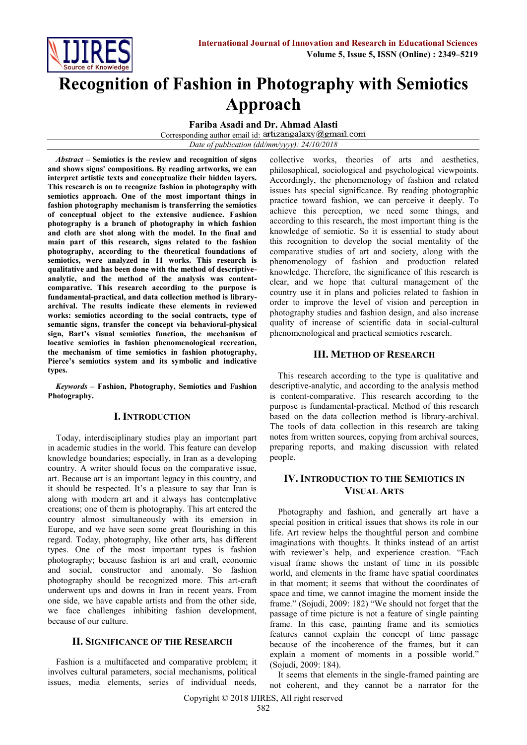

# **Recognition of Fashion in Photography with Semiotics Approach**

**Fariba Asadi and Dr. Ahmad Alasti**

Corresponding author email id: artizangalaxy@gmail.com

*Date of publication (dd/mm/yyyy): 24/10/2018*

*Abstract* **– Semiotics is the review and recognition of signs and shows signs' compositions. By reading artworks, we can interpret artistic texts and conceptualize their hidden layers. This research is on to recognize fashion in photography with semiotics approach. One of the most important things in fashion photography mechanism is transferring the semiotics of conceptual object to the extensive audience. Fashion photography is a branch of photography in which fashion and cloth are shot along with the model. In the final and main part of this research, signs related to the fashion photography, according to the theoretical foundations of semiotics, were analyzed in 11 works. This research is qualitative and has been done with the method of descriptiveanalytic, and the method of the analysis was contentcomparative. This research according to the purpose is fundamental-practical, and data collection method is libraryarchival. The results indicate these elements in reviewed works: semiotics according to the social contracts, type of semantic signs, transfer the concept via behavioral-physical sign, Bart's visual semiotics function, the mechanism of locative semiotics in fashion phenomenological recreation, the mechanism of time semiotics in fashion photography, Pierce's semiotics system and its symbolic and indicative types.**

*Keywords* **– Fashion, Photography, Semiotics and Fashion Photography.**

# **I. INTRODUCTION**

Today, interdisciplinary studies play an important part in academic studies in the world. This feature can develop knowledge boundaries; especially, in Iran as a developing country. A writer should focus on the comparative issue, art. Because art is an important legacy in this country, and it should be respected. It's a pleasure to say that Iran is along with modern art and it always has contemplative creations; one of them is photography. This art entered the country almost simultaneously with its emersion in Europe, and we have seen some great flourishing in this regard. Today, photography, like other arts, has different types. One of the most important types is fashion photography; because fashion is art and craft, economic and social, constructor and anomaly. So fashion photography should be recognized more. This art-craft underwent ups and downs in Iran in recent years. From one side, we have capable artists and from the other side, we face challenges inhibiting fashion development, because of our culture.

## **II. SIGNIFICANCE OF THE RESEARCH**

Fashion is a multifaceted and comparative problem; it involves cultural parameters, social mechanisms, political issues, media elements, series of individual needs,

collective works, theories of arts and aesthetics, philosophical, sociological and psychological viewpoints. Accordingly, the phenomenology of fashion and related issues has special significance. By reading photographic practice toward fashion, we can perceive it deeply. To achieve this perception, we need some things, and according to this research, the most important thing is the knowledge of semiotic. So it is essential to study about this recognition to develop the social mentality of the comparative studies of art and society, along with the phenomenology of fashion and production related knowledge. Therefore, the significance of this research is clear, and we hope that cultural management of the country use it in plans and policies related to fashion in order to improve the level of vision and perception in photography studies and fashion design, and also increase quality of increase of scientific data in social-cultural phenomenological and practical semiotics research.

## **III. METHOD OF RESEARCH**

This research according to the type is qualitative and descriptive-analytic, and according to the analysis method is content-comparative. This research according to the purpose is fundamental-practical. Method of this research based on the data collection method is library-archival. The tools of data collection in this research are taking notes from written sources, copying from archival sources, preparing reports, and making discussion with related people.

# **IV. INTRODUCTION TO THE SEMIOTICS IN VISUAL ARTS**

Photography and fashion, and generally art have a special position in critical issues that shows its role in our life. Art review helps the thoughtful person and combine imaginations with thoughts. It thinks instead of an artist with reviewer's help, and experience creation. "Each visual frame shows the instant of time in its possible world, and elements in the frame have spatial coordinates in that moment; it seems that without the coordinates of space and time, we cannot imagine the moment inside the frame." (Sojudi, 2009: 182) "We should not forget that the passage of time picture is not a feature of single painting frame. In this case, painting frame and its semiotics features cannot explain the concept of time passage because of the incoherence of the frames, but it can explain a moment of moments in a possible world." (Sojudi, 2009: 184).

It seems that elements in the single-framed painting are not coherent, and they cannot be a narrator for the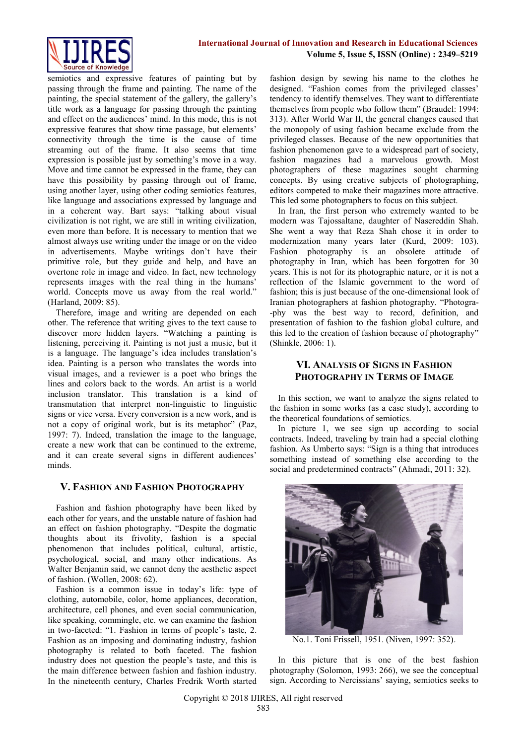

semiotics and expressive features of painting but by passing through the frame and painting. The name of the painting, the special statement of the gallery, the gallery's title work as a language for passing through the painting and effect on the audiences' mind. In this mode, this is not expressive features that show time passage, but elements' connectivity through the time is the cause of time streaming out of the frame. It also seems that time expression is possible just by something's move in a way. Move and time cannot be expressed in the frame, they can have this possibility by passing through out of frame, using another layer, using other coding semiotics features, like language and associations expressed by language and in a coherent way. Bart says: "talking about visual civilization is not right, we are still in writing civilization, even more than before. It is necessary to mention that we almost always use writing under the image or on the video in advertisements. Maybe writings don't have their primitive role, but they guide and help, and have an overtone role in image and video. In fact, new technology represents images with the real thing in the humans' world. Concepts move us away from the real world." (Harland, 2009: 85).

Therefore, image and writing are depended on each other. The reference that writing gives to the text cause to discover more hidden layers. "Watching a painting is listening, perceiving it. Painting is not just a music, but it is a language. The language's idea includes translation's idea. Painting is a person who translates the words into visual images, and a reviewer is a poet who brings the lines and colors back to the words. An artist is a world inclusion translator. This translation is a kind of transmutation that interpret non-linguistic to linguistic signs or vice versa. Every conversion is a new work, and is not a copy of original work, but is its metaphor" (Paz, 1997: 7). Indeed, translation the image to the language, create a new work that can be continued to the extreme, and it can create several signs in different audiences' minds.

## **V. FASHION AND FASHION PHOTOGRAPHY**

Fashion and fashion photography have been liked by each other for years, and the unstable nature of fashion had an effect on fashion photography. "Despite the dogmatic thoughts about its frivolity, fashion is a special phenomenon that includes political, cultural, artistic, psychological, social, and many other indications. As Walter Benjamin said, we cannot deny the aesthetic aspect of fashion. (Wollen, 2008: 62).

Fashion is a common issue in today's life: type of clothing, automobile, color, home appliances, decoration, architecture, cell phones, and even social communication, like speaking, commingle, etc. we can examine the fashion in two-faceted: "1. Fashion in terms of people's taste, 2. Fashion as an imposing and dominating industry, fashion photography is related to both faceted. The fashion industry does not question the people's taste, and this is the main difference between fashion and fashion industry. In the nineteenth century, Charles Fredrik Worth started fashion design by sewing his name to the clothes he designed. "Fashion comes from the privileged classes' tendency to identify themselves. They want to differentiate themselves from people who follow them" (Braudel: 1994: 313). After World War II, the general changes caused that the monopoly of using fashion became exclude from the privileged classes. Because of the new opportunities that fashion phenomenon gave to a widespread part of society, fashion magazines had a marvelous growth. Most photographers of these magazines sought charming concepts. By using creative subjects of photographing, editors competed to make their magazines more attractive. This led some photographers to focus on this subject.

In Iran, the first person who extremely wanted to be modern was Tajossaltane, daughter of Nasereddin Shah. She went a way that Reza Shah chose it in order to modernization many years later (Kurd, 2009: 103). Fashion photography is an obsolete attitude of photography in Iran, which has been forgotten for 30 years. This is not for its photographic nature, or it is not a reflection of the Islamic government to the word of fashion; this is just because of the one-dimensional look of Iranian photographers at fashion photography. "Photogra- -phy was the best way to record, definition, and presentation of fashion to the fashion global culture, and this led to the creation of fashion because of photography" (Shinkle, 2006: 1).

# **VI. ANALYSIS OF SIGNS IN FASHION PHOTOGRAPHY IN TERMS OF IMAGE**

In this section, we want to analyze the signs related to the fashion in some works (as a case study), according to the theoretical foundations of semiotics.

In picture 1, we see sign up according to social contracts. Indeed, traveling by train had a special clothing fashion. As Umberto says: "Sign is a thing that introduces something instead of something else according to the social and predetermined contracts" (Ahmadi, 2011: 32).



No.1. Toni Frissell, 1951. (Niven, 1997: 352).

In this picture that is one of the best fashion photography (Solomon, 1993: 266), we see the conceptual sign. According to Nercissians' saying, semiotics seeks to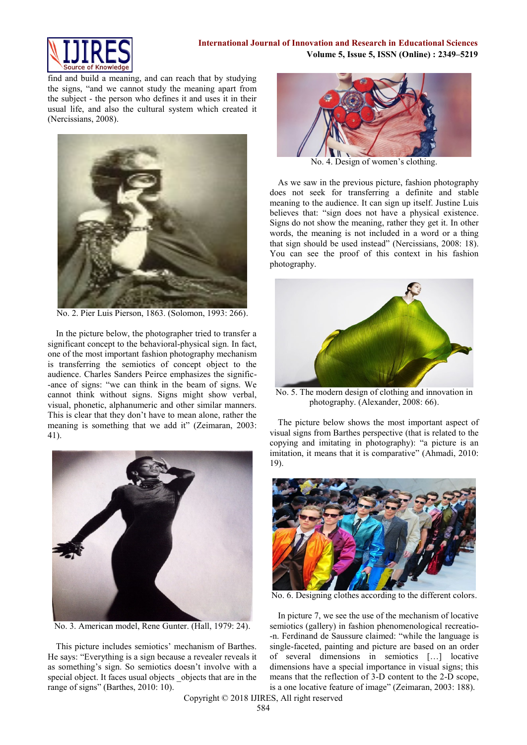

find and build a meaning, and can reach that by studying the signs, "and we cannot study the meaning apart from the subject - the person who defines it and uses it in their usual life, and also the cultural system which created it (Nercissians, 2008).



No. 2. Pier Luis Pierson, 1863. (Solomon, 1993: 266).

In the picture below, the photographer tried to transfer a significant concept to the behavioral-physical sign. In fact, one of the most important fashion photography mechanism is transferring the semiotics of concept object to the audience. Charles Sanders Peirce emphasizes the signific- -ance of signs: "we can think in the beam of signs. We cannot think without signs. Signs might show verbal, visual, phonetic, alphanumeric and other similar manners. This is clear that they don't have to mean alone, rather the meaning is something that we add it" (Zeimaran, 2003: 41).



No. 3. American model, Rene Gunter. (Hall, 1979: 24).

This picture includes semiotics' mechanism of Barthes. He says: "Everything is a sign because a revealer reveals it as something's sign. So semiotics doesn't involve with a special object. It faces usual objects objects that are in the range of signs" (Barthes, 2010: 10).



No. 4. Design of women's clothing.

As we saw in the previous picture, fashion photography does not seek for transferring a definite and stable meaning to the audience. It can sign up itself. Justine Luis believes that: "sign does not have a physical existence. Signs do not show the meaning, rather they get it. In other words, the meaning is not included in a word or a thing that sign should be used instead" (Nercissians, 2008: 18). You can see the proof of this context in his fashion photography.



No. 5. The modern design of clothing and innovation in photography. (Alexander, 2008: 66).

The picture below shows the most important aspect of visual signs from Barthes perspective (that is related to the copying and imitating in photography): "a picture is an imitation, it means that it is comparative" (Ahmadi, 2010: 19).



No. 6. Designing clothes according to the different colors.

In picture 7, we see the use of the mechanism of locative semiotics (gallery) in fashion phenomenological recreatio- -n. Ferdinand de Saussure claimed: "while the language is single-faceted, painting and picture are based on an order of several dimensions in semiotics […] locative dimensions have a special importance in visual signs; this means that the reflection of 3-D content to the 2-D scope, is a one locative feature of image" (Zeimaran, 2003: 188).

Copyright © 2018 IJIRES, All right reserved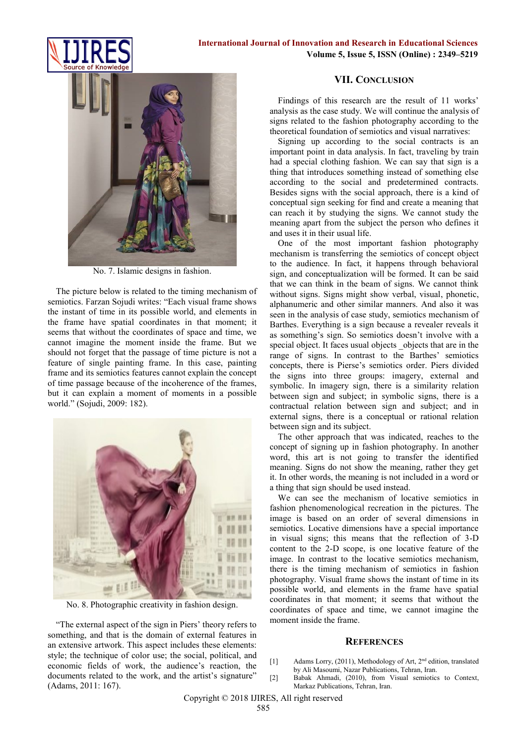



No. 7. Islamic designs in fashion.

The picture below is related to the timing mechanism of semiotics. Farzan Sojudi writes: "Each visual frame shows the instant of time in its possible world, and elements in the frame have spatial coordinates in that moment; it seems that without the coordinates of space and time, we cannot imagine the moment inside the frame. But we should not forget that the passage of time picture is not a feature of single painting frame. In this case, painting frame and its semiotics features cannot explain the concept of time passage because of the incoherence of the frames, but it can explain a moment of moments in a possible world." (Sojudi, 2009: 182).



No. 8. Photographic creativity in fashion design.

"The external aspect of the sign in Piers' theory refers to something, and that is the domain of external features in an extensive artwork. This aspect includes these elements: style; the technique of color use; the social, political, and economic fields of work, the audience's reaction, the documents related to the work, and the artist's signature" (Adams, 2011: 167).

#### **VII. CONCLUSION**

Findings of this research are the result of 11 works' analysis as the case study. We will continue the analysis of signs related to the fashion photography according to the theoretical foundation of semiotics and visual narratives:

Signing up according to the social contracts is an important point in data analysis. In fact, traveling by train had a special clothing fashion. We can say that sign is a thing that introduces something instead of something else according to the social and predetermined contracts. Besides signs with the social approach, there is a kind of conceptual sign seeking for find and create a meaning that can reach it by studying the signs. We cannot study the meaning apart from the subject the person who defines it and uses it in their usual life.

One of the most important fashion photography mechanism is transferring the semiotics of concept object to the audience. In fact, it happens through behavioral sign, and conceptualization will be formed. It can be said that we can think in the beam of signs. We cannot think without signs. Signs might show verbal, visual, phonetic, alphanumeric and other similar manners. And also it was seen in the analysis of case study, semiotics mechanism of Barthes. Everything is a sign because a revealer reveals it as something's sign. So semiotics doesn't involve with a special object. It faces usual objects objects that are in the range of signs. In contrast to the Barthes' semiotics concepts, there is Pierse's semiotics order. Piers divided the signs into three groups: imagery, external and symbolic. In imagery sign, there is a similarity relation between sign and subject; in symbolic signs, there is a contractual relation between sign and subject; and in external signs, there is a conceptual or rational relation between sign and its subject.

The other approach that was indicated, reaches to the concept of signing up in fashion photography. In another word, this art is not going to transfer the identified meaning. Signs do not show the meaning, rather they get it. In other words, the meaning is not included in a word or a thing that sign should be used instead.

We can see the mechanism of locative semiotics in fashion phenomenological recreation in the pictures. The image is based on an order of several dimensions in semiotics. Locative dimensions have a special importance in visual signs; this means that the reflection of 3-D content to the 2-D scope, is one locative feature of the image. In contrast to the locative semiotics mechanism, there is the timing mechanism of semiotics in fashion photography. Visual frame shows the instant of time in its possible world, and elements in the frame have spatial coordinates in that moment; it seems that without the coordinates of space and time, we cannot imagine the moment inside the frame.

#### **REFERENCES**

- [1] Adams Lorry, (2011), Methodology of Art, 2<sup>nd</sup> edition, translated by Ali Masoumi, Nazar Publications, Tehran, Iran.
- [2] Babak Ahmadi, (2010), from Visual semiotics to Context, Markaz Publications, Tehran, Iran.